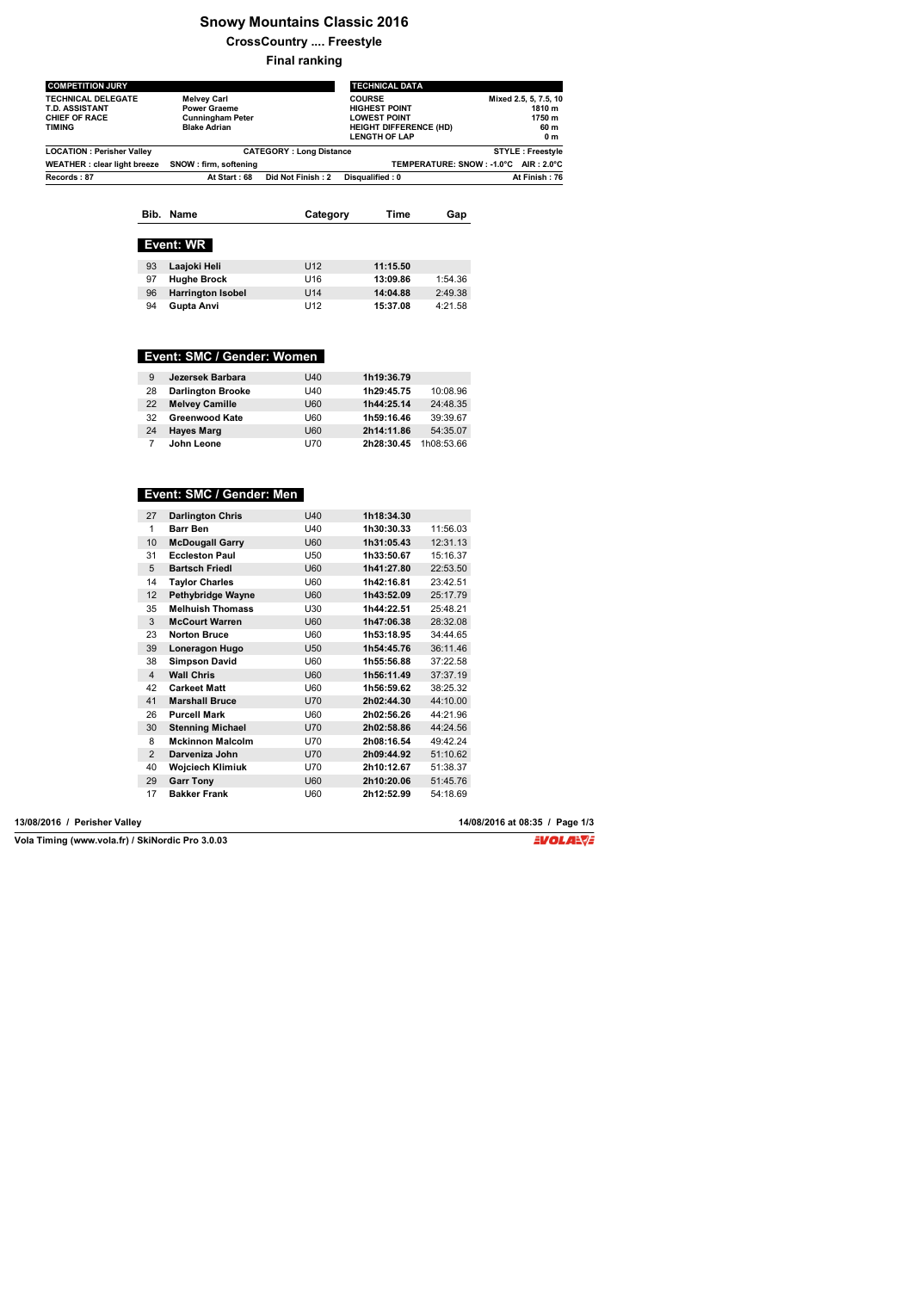# **Snowy Mountains Classic 2016**

**CrossCountry .... Freestyle**

**Final ranking**

| <b>COMPETITION JURY</b>                                                              |                                                                                             |                                | <b>TECHNICAL DATA</b>                                                                                                 |                                      |                                                          |
|--------------------------------------------------------------------------------------|---------------------------------------------------------------------------------------------|--------------------------------|-----------------------------------------------------------------------------------------------------------------------|--------------------------------------|----------------------------------------------------------|
| <b>TECHNICAL DELEGATE</b><br>T.D. ASSISTANT<br><b>CHIEF OF RACE</b><br><b>TIMING</b> | <b>Melvey Carl</b><br><b>Power Graeme</b><br><b>Cunningham Peter</b><br><b>Blake Adrian</b> |                                | <b>COURSE</b><br><b>HIGHEST POINT</b><br><b>LOWEST POINT</b><br><b>HEIGHT DIFFERENCE (HD)</b><br><b>LENGTH OF LAP</b> |                                      | Mixed 2.5, 5, 7.5, 10<br>1810 m<br>1750 m<br>60 m<br>0 m |
| <b>LOCATION: Perisher Valley</b>                                                     |                                                                                             | <b>CATEGORY: Long Distance</b> |                                                                                                                       |                                      | <b>STYLE: Freestyle</b>                                  |
| <b>WEATHER: clear light breeze</b>                                                   | SNOW: firm. softening                                                                       |                                |                                                                                                                       | TEMPERATURE: SNOW: -1.0°C AIR: 2.0°C |                                                          |
| Records: 87                                                                          | At Start: 68                                                                                | Did Not Finish: 2              | Disqualified: 0                                                                                                       |                                      | At Finish: 76                                            |

| Bib. Name        | Category | Time | Gap |  |
|------------------|----------|------|-----|--|
|                  |          |      |     |  |
| <b>Event: WR</b> |          |      |     |  |

| 93 | Laajoki Heli             | U12             | 11:15.50 |         |
|----|--------------------------|-----------------|----------|---------|
| 97 | <b>Hughe Brock</b>       | U <sub>16</sub> | 13:09.86 | 1:54.36 |
| 96 | <b>Harrington Isobel</b> | U14             | 14:04.88 | 2:49.38 |
| 94 | Gupta Anvi               | U12             | 15:37.08 | 4:21.58 |

## **Event: SMC / Gender: Women**

| 9  | Jezersek Barbara         | U40        | 1h19:36.79 |            |
|----|--------------------------|------------|------------|------------|
| 28 | <b>Darlington Brooke</b> | U40        | 1h29:45.75 | 10:08.96   |
| 22 | <b>Melvey Camille</b>    | <b>U60</b> | 1h44:25.14 | 24:48.35   |
| 32 | <b>Greenwood Kate</b>    | U60        | 1h59:16.46 | 39:39.67   |
| 24 | <b>Hayes Marg</b>        | <b>U60</b> | 2h14:11.86 | 54:35.07   |
|    | John Leone               | U70        | 2h28:30.45 | 1h08:53.66 |

## **Event: SMC / Gender: Men**

| 27             | <b>Darlington Chris</b> | U40        | 1h18:34.30 |          |
|----------------|-------------------------|------------|------------|----------|
| 1              | <b>Barr Ben</b>         | U40        | 1h30:30.33 | 11:56.03 |
| 10             | <b>McDougall Garry</b>  | U60        | 1h31:05.43 | 12:31.13 |
| 31             | <b>Eccleston Paul</b>   | U50        | 1h33:50.67 | 15:16.37 |
| 5              | <b>Bartsch Friedl</b>   | U60        | 1h41:27.80 | 22:53.50 |
| 14             | <b>Taylor Charles</b>   | U60        | 1h42:16.81 | 23:42.51 |
| 12             | Pethybridge Wayne       | U60        | 1h43:52.09 | 25:17.79 |
| 35             | <b>Melhuish Thomass</b> | U30        | 1h44:22.51 | 25:48.21 |
| 3              | <b>McCourt Warren</b>   | U60        | 1h47:06.38 | 28:32.08 |
| 23             | <b>Norton Bruce</b>     | U60        | 1h53:18.95 | 34:44.65 |
| 39             | Loneragon Hugo          | U50        | 1h54:45.76 | 36:11.46 |
| 38             | <b>Simpson David</b>    | U60        | 1h55:56.88 | 37:22.58 |
| $\overline{4}$ | <b>Wall Chris</b>       | U60        | 1h56:11.49 | 37:37.19 |
| 42             | <b>Carkeet Matt</b>     | U60        | 1h56:59.62 | 38:25.32 |
| 41             | <b>Marshall Bruce</b>   | <b>U70</b> | 2h02:44.30 | 44:10.00 |
| 26             | <b>Purcell Mark</b>     | U60        | 2h02:56.26 | 44:21.96 |
| 30             | <b>Stenning Michael</b> | <b>U70</b> | 2h02:58.86 | 44:24.56 |
| 8              | <b>Mckinnon Malcolm</b> | U70        | 2h08:16.54 | 49:42.24 |
| $\overline{2}$ | Darveniza John          | U70        | 2h09:44.92 | 51:10.62 |
| 40             | <b>Wojciech Klimiuk</b> | U70        | 2h10:12.67 | 51:38.37 |
| 29             | <b>Garr Tony</b>        | U60        | 2h10:20.06 | 51:45.76 |
| 17             | <b>Bakker Frank</b>     | U60        | 2h12:52.99 | 54:18.69 |

**Vola Timing (www.vola.fr) / SkiNordic Pro 3.0.03**

**13/08/2016 / Perisher Valley 14/08/2016 at 08:35 / Page 1/3**

EVOLA<del>N</del>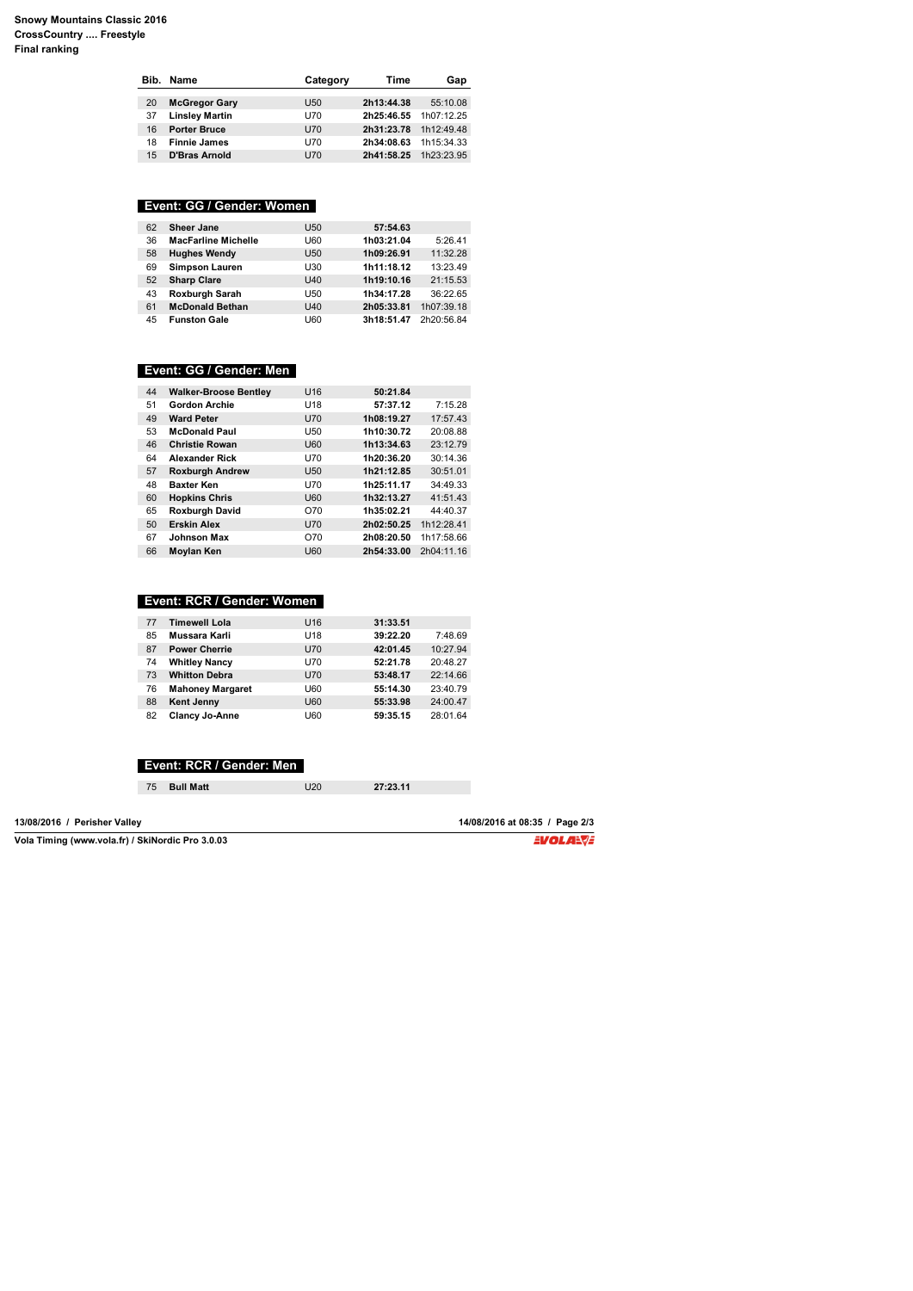|    | Bib. Name             | Category        | Time       | Gap        |
|----|-----------------------|-----------------|------------|------------|
|    |                       |                 |            |            |
| 20 | <b>McGregor Gary</b>  | U <sub>50</sub> | 2h13:44.38 | 55:10.08   |
| 37 | <b>Linsley Martin</b> | U70             | 2h25:46.55 | 1h07:12.25 |
| 16 | <b>Porter Bruce</b>   | U70             | 2h31:23.78 | 1h12:49.48 |
| 18 | <b>Finnie James</b>   | U70             | 2h34:08.63 | 1h15:34.33 |
| 15 | <b>D'Bras Arnold</b>  | U70             | 2h41:58.25 | 1h23:23.95 |
|    |                       |                 |            |            |

# **Event: GG / Gender: Women**

| 62 | Sheer Jane                 | U <sub>50</sub> | 57:54.63   |            |
|----|----------------------------|-----------------|------------|------------|
| 36 | <b>MacFarline Michelle</b> | <b>U60</b>      | 1h03:21.04 | 5:26.41    |
| 58 | <b>Hughes Wendy</b>        | U <sub>50</sub> | 1h09:26.91 | 11:32.28   |
| 69 | <b>Simpson Lauren</b>      | U30             | 1h11:18.12 | 13:23.49   |
| 52 | <b>Sharp Clare</b>         | U40             | 1h19:10.16 | 21:15.53   |
| 43 | Roxburgh Sarah             | U50             | 1h34:17.28 | 36:22.65   |
| 61 | <b>McDonald Bethan</b>     | U40             | 2h05:33.81 | 1h07:39.18 |
| 45 | <b>Funston Gale</b>        | <b>U60</b>      | 3h18:51.47 | 2h20:56.84 |

# **Event: GG / Gender: Men**

| 44 | <b>Walker-Broose Bentley</b> | U16             | 50:21.84   |            |
|----|------------------------------|-----------------|------------|------------|
| 51 | <b>Gordon Archie</b>         | U <sub>18</sub> | 57:37.12   | 7:15.28    |
| 49 | <b>Ward Peter</b>            | <b>U70</b>      | 1h08:19.27 | 17:57.43   |
| 53 | <b>McDonald Paul</b>         | U50             | 1h10:30.72 | 20:08.88   |
| 46 | <b>Christie Rowan</b>        | <b>U60</b>      | 1h13:34.63 | 23:12.79   |
| 64 | <b>Alexander Rick</b>        | U70             | 1h20:36.20 | 30:14.36   |
| 57 | <b>Roxburgh Andrew</b>       | U <sub>50</sub> | 1h21:12.85 | 30:51.01   |
| 48 | <b>Baxter Ken</b>            | U70             | 1h25:11.17 | 34:49.33   |
| 60 | <b>Hopkins Chris</b>         | <b>U60</b>      | 1h32:13.27 | 41:51.43   |
| 65 | <b>Roxburgh David</b>        | O70             | 1h35:02.21 | 44:40.37   |
| 50 | <b>Erskin Alex</b>           | <b>U70</b>      | 2h02:50.25 | 1h12:28.41 |
| 67 | <b>Johnson Max</b>           | O70             | 2h08:20.50 | 1h17:58.66 |
| 66 | Moylan Ken                   | U60             | 2h54:33.00 | 2h04:11.16 |
|    |                              |                 |            |            |

## **Event: RCR / Gender: Women**

| 77 | <b>Timewell Lola</b>    | U <sub>16</sub> | 31:33.51 |          |
|----|-------------------------|-----------------|----------|----------|
| 85 | Mussara Karli           | U <sub>18</sub> | 39:22.20 | 7:48.69  |
| 87 | <b>Power Cherrie</b>    | <b>U70</b>      | 42:01.45 | 10:27.94 |
| 74 | <b>Whitley Nancy</b>    | U70             | 52:21.78 | 20:48.27 |
| 73 | <b>Whitton Debra</b>    | <b>U70</b>      | 53:48.17 | 22:14.66 |
| 76 | <b>Mahoney Margaret</b> | <b>U60</b>      | 55:14.30 | 23:40.79 |
| 88 | <b>Kent Jenny</b>       | <b>U60</b>      | 55:33.98 | 24:00.47 |
| 82 | <b>Clancy Jo-Anne</b>   | <b>U60</b>      | 59:35.15 | 28:01.64 |

## **Event: RCR / Gender: Men**

| <b>Bull Matt</b><br>75 | J20 | 27:23.11 |  |
|------------------------|-----|----------|--|

**13/08/2016 / Perisher Valley 14/08/2016 at 08:35 / Page 2/3**

**Vola Timing (www.vola.fr) / SkiNordic Pro 3.0.03**

EVOLA<del>N</del>